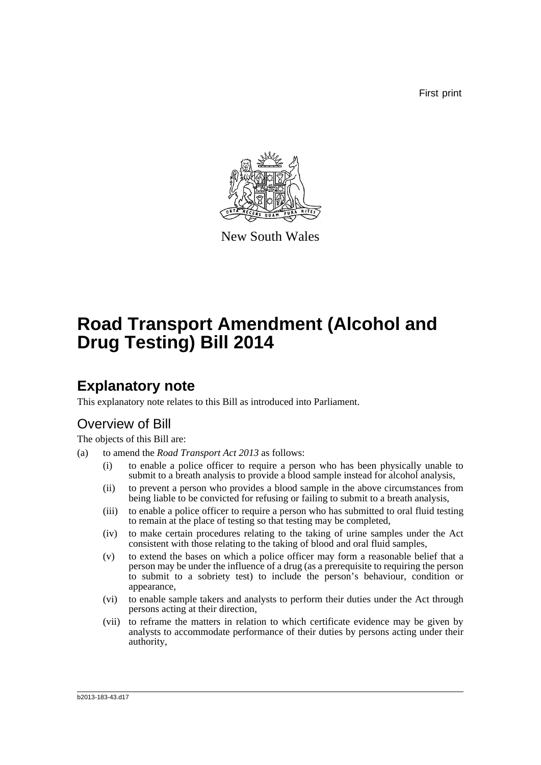First print



New South Wales

# **Road Transport Amendment (Alcohol and Drug Testing) Bill 2014**

## **Explanatory note**

This explanatory note relates to this Bill as introduced into Parliament.

## Overview of Bill

The objects of this Bill are:

- (a) to amend the *Road Transport Act 2013* as follows:
	- (i) to enable a police officer to require a person who has been physically unable to submit to a breath analysis to provide a blood sample instead for alcohol analysis,
	- (ii) to prevent a person who provides a blood sample in the above circumstances from being liable to be convicted for refusing or failing to submit to a breath analysis,
	- (iii) to enable a police officer to require a person who has submitted to oral fluid testing to remain at the place of testing so that testing may be completed,
	- (iv) to make certain procedures relating to the taking of urine samples under the Act consistent with those relating to the taking of blood and oral fluid samples,
	- (v) to extend the bases on which a police officer may form a reasonable belief that a person may be under the influence of a drug (as a prerequisite to requiring the person to submit to a sobriety test) to include the person's behaviour, condition or appearance,
	- (vi) to enable sample takers and analysts to perform their duties under the Act through persons acting at their direction,
	- (vii) to reframe the matters in relation to which certificate evidence may be given by analysts to accommodate performance of their duties by persons acting under their authority,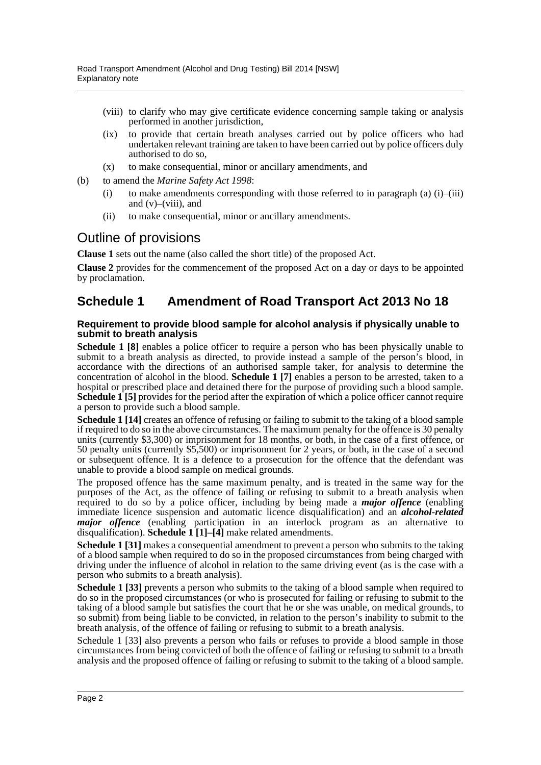- (viii) to clarify who may give certificate evidence concerning sample taking or analysis performed in another jurisdiction,
- (ix) to provide that certain breath analyses carried out by police officers who had undertaken relevant training are taken to have been carried out by police officers duly authorised to do so,
- (x) to make consequential, minor or ancillary amendments, and
- (b) to amend the *Marine Safety Act 1998*:
	- (i) to make amendments corresponding with those referred to in paragraph (a)  $(i)$ – $(iii)$ and  $(v)$ – $(viii)$ , and
	- (ii) to make consequential, minor or ancillary amendments.

## Outline of provisions

**Clause 1** sets out the name (also called the short title) of the proposed Act.

**Clause 2** provides for the commencement of the proposed Act on a day or days to be appointed by proclamation.

## **Schedule 1 Amendment of Road Transport Act 2013 No 18**

### **Requirement to provide blood sample for alcohol analysis if physically unable to submit to breath analysis**

**Schedule 1 [8]** enables a police officer to require a person who has been physically unable to submit to a breath analysis as directed, to provide instead a sample of the person's blood, in accordance with the directions of an authorised sample taker, for analysis to determine the concentration of alcohol in the blood. **Schedule 1 [7]** enables a person to be arrested, taken to a hospital or prescribed place and detained there for the purpose of providing such a blood sample. **Schedule 1 [5]** provides for the period after the expiration of which a police officer cannot require a person to provide such a blood sample.

**Schedule 1 [14]** creates an offence of refusing or failing to submit to the taking of a blood sample if required to do so in the above circumstances. The maximum penalty for the offence is 30 penalty units (currently \$3,300) or imprisonment for 18 months, or both, in the case of a first offence, or 50 penalty units (currently \$5,500) or imprisonment for 2 years, or both, in the case of a second or subsequent offence. It is a defence to a prosecution for the offence that the defendant was unable to provide a blood sample on medical grounds.

The proposed offence has the same maximum penalty, and is treated in the same way for the purposes of the Act, as the offence of failing or refusing to submit to a breath analysis when required to do so by a police officer, including by being made a *major offence* (enabling immediate licence suspension and automatic licence disqualification) and an *alcohol-related major offence* (enabling participation in an interlock program as an alternative to disqualification). **Schedule 1 [1]–[4]** make related amendments.

**Schedule 1 [31]** makes a consequential amendment to prevent a person who submits to the taking of a blood sample when required to do so in the proposed circumstances from being charged with driving under the influence of alcohol in relation to the same driving event (as is the case with a person who submits to a breath analysis).

**Schedule 1 [33]** prevents a person who submits to the taking of a blood sample when required to do so in the proposed circumstances (or who is prosecuted for failing or refusing to submit to the taking of a blood sample but satisfies the court that he or she was unable, on medical grounds, to so submit) from being liable to be convicted, in relation to the person's inability to submit to the breath analysis, of the offence of failing or refusing to submit to a breath analysis.

Schedule 1 [33] also prevents a person who fails or refuses to provide a blood sample in those circumstances from being convicted of both the offence of failing or refusing to submit to a breath analysis and the proposed offence of failing or refusing to submit to the taking of a blood sample.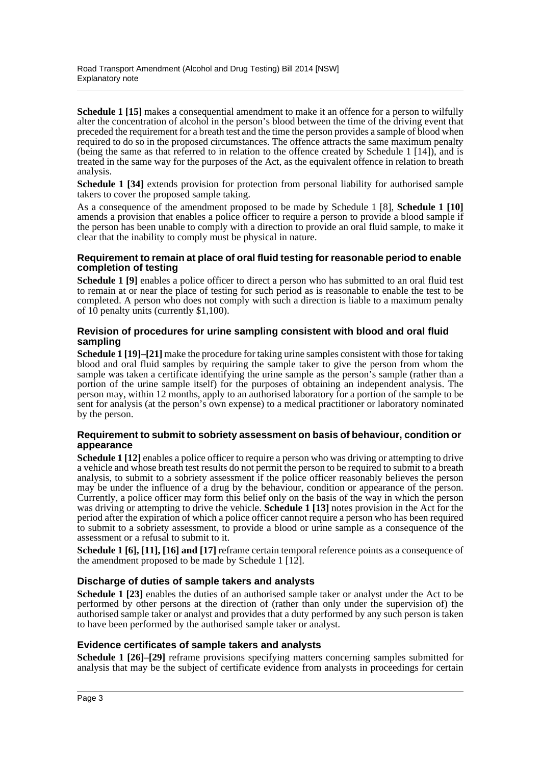**Schedule 1 [15]** makes a consequential amendment to make it an offence for a person to wilfully alter the concentration of alcohol in the person's blood between the time of the driving event that preceded the requirement for a breath test and the time the person provides a sample of blood when required to do so in the proposed circumstances. The offence attracts the same maximum penalty (being the same as that referred to in relation to the offence created by Schedule 1 [14]), and is treated in the same way for the purposes of the Act, as the equivalent offence in relation to breath analysis.

**Schedule 1 [34]** extends provision for protection from personal liability for authorised sample takers to cover the proposed sample taking.

As a consequence of the amendment proposed to be made by Schedule 1 [8], **Schedule 1 [10]** amends a provision that enables a police officer to require a person to provide a blood sample if the person has been unable to comply with a direction to provide an oral fluid sample, to make it clear that the inability to comply must be physical in nature.

### **Requirement to remain at place of oral fluid testing for reasonable period to enable completion of testing**

**Schedule 1 [9]** enables a police officer to direct a person who has submitted to an oral fluid test to remain at or near the place of testing for such period as is reasonable to enable the test to be completed. A person who does not comply with such a direction is liable to a maximum penalty of 10 penalty units (currently \$1,100).

### **Revision of procedures for urine sampling consistent with blood and oral fluid sampling**

**Schedule 1 [19]–[21]** make the procedure for taking urine samples consistent with those for taking blood and oral fluid samples by requiring the sample taker to give the person from whom the sample was taken a certificate identifying the urine sample as the person's sample (rather than a portion of the urine sample itself) for the purposes of obtaining an independent analysis. The person may, within 12 months, apply to an authorised laboratory for a portion of the sample to be sent for analysis (at the person's own expense) to a medical practitioner or laboratory nominated by the person.

### **Requirement to submit to sobriety assessment on basis of behaviour, condition or appearance**

**Schedule 1 [12]** enables a police officer to require a person who was driving or attempting to drive a vehicle and whose breath test results do not permit the person to be required to submit to a breath analysis, to submit to a sobriety assessment if the police officer reasonably believes the person may be under the influence of a drug by the behaviour, condition or appearance of the person. Currently, a police officer may form this belief only on the basis of the way in which the person was driving or attempting to drive the vehicle. **Schedule 1 [13]** notes provision in the Act for the period after the expiration of which a police officer cannot require a person who has been required to submit to a sobriety assessment, to provide a blood or urine sample as a consequence of the assessment or a refusal to submit to it.

**Schedule 1 [6], [11], [16] and [17]** reframe certain temporal reference points as a consequence of the amendment proposed to be made by Schedule 1 [12].

### **Discharge of duties of sample takers and analysts**

**Schedule 1 [23]** enables the duties of an authorised sample taker or analyst under the Act to be performed by other persons at the direction of (rather than only under the supervision of) the authorised sample taker or analyst and provides that a duty performed by any such person is taken to have been performed by the authorised sample taker or analyst.

### **Evidence certificates of sample takers and analysts**

**Schedule 1 [26]–[29]** reframe provisions specifying matters concerning samples submitted for analysis that may be the subject of certificate evidence from analysts in proceedings for certain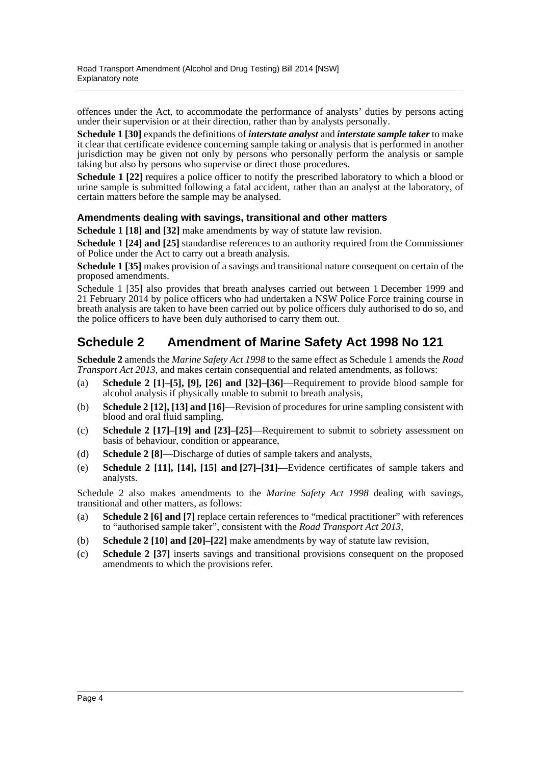offences under the Act, to accommodate the performance of analysts' duties by persons acting under their supervision or at their direction, rather than by analysts personally.

**Schedule 1 [30]** expands the definitions of *interstate analyst* and *interstate sample taker* to make it clear that certificate evidence concerning sample taking or analysis that is performed in another jurisdiction may be given not only by persons who personally perform the analysis or sample taking but also by persons who supervise or direct those procedures.

**Schedule 1 [22]** requires a police officer to notify the prescribed laboratory to which a blood or urine sample is submitted following a fatal accident, rather than an analyst at the laboratory, of certain matters before the sample may be analysed.

### **Amendments dealing with savings, transitional and other matters**

**Schedule 1 [18] and [32]** make amendments by way of statute law revision.

**Schedule 1 [24] and [25]** standardise references to an authority required from the Commissioner of Police under the Act to carry out a breath analysis.

**Schedule 1 [35]** makes provision of a savings and transitional nature consequent on certain of the proposed amendments.

Schedule 1 [35] also provides that breath analyses carried out between 1 December 1999 and 21 February 2014 by police officers who had undertaken a NSW Police Force training course in breath analysis are taken to have been carried out by police officers duly authorised to do so, and the police officers to have been duly authorised to carry them out.

## **Schedule 2 Amendment of Marine Safety Act 1998 No 121**

**Schedule 2** amends the *Marine Safety Act 1998* to the same effect as Schedule 1 amends the *Road Transport Act 2013*, and makes certain consequential and related amendments, as follows:

- (a) **Schedule 2 [1]–[5], [9], [26] and [32]–[36]**—Requirement to provide blood sample for alcohol analysis if physically unable to submit to breath analysis,
- (b) **Schedule 2 [12], [13] and [16]**—Revision of procedures for urine sampling consistent with blood and oral fluid sampling,
- (c) **Schedule 2 [17]–[19] and [23]–[25]**—Requirement to submit to sobriety assessment on basis of behaviour, condition or appearance,
- (d) **Schedule 2 [8]**—Discharge of duties of sample takers and analysts,
- (e) **Schedule 2 [11], [14], [15] and [27]–[31]**—Evidence certificates of sample takers and analysts.

Schedule 2 also makes amendments to the *Marine Safety Act 1998* dealing with savings, transitional and other matters, as follows:

- (a) **Schedule 2 [6] and [7]** replace certain references to "medical practitioner" with references to "authorised sample taker", consistent with the *Road Transport Act 2013*,
- (b) **Schedule 2 [10] and [20]–[22]** make amendments by way of statute law revision,
- (c) **Schedule 2 [37]** inserts savings and transitional provisions consequent on the proposed amendments to which the provisions refer.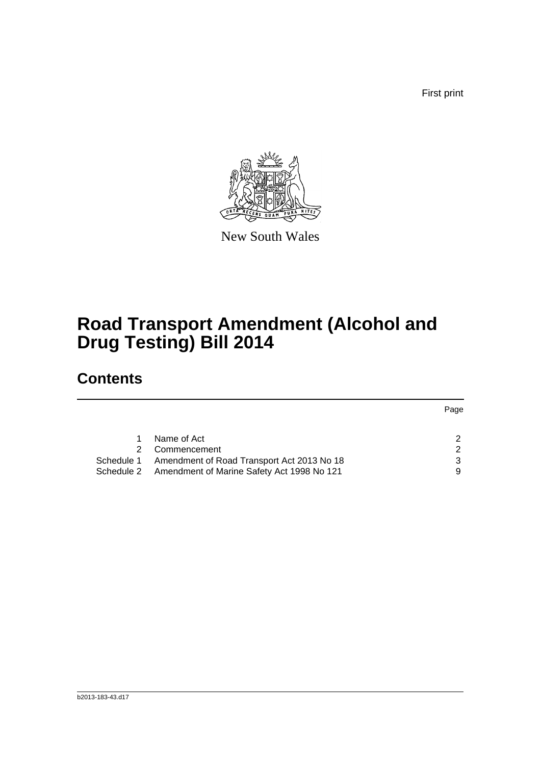First print



New South Wales

# **Road Transport Amendment (Alcohol and Drug Testing) Bill 2014**

# **Contents**

|                                                       | Page |
|-------------------------------------------------------|------|
|                                                       |      |
| Name of Act                                           | 2    |
| Commencement                                          | 2    |
| Schedule 1 Amendment of Road Transport Act 2013 No 18 | 3    |
| Schedule 2 Amendment of Marine Safety Act 1998 No 121 | 9    |
|                                                       |      |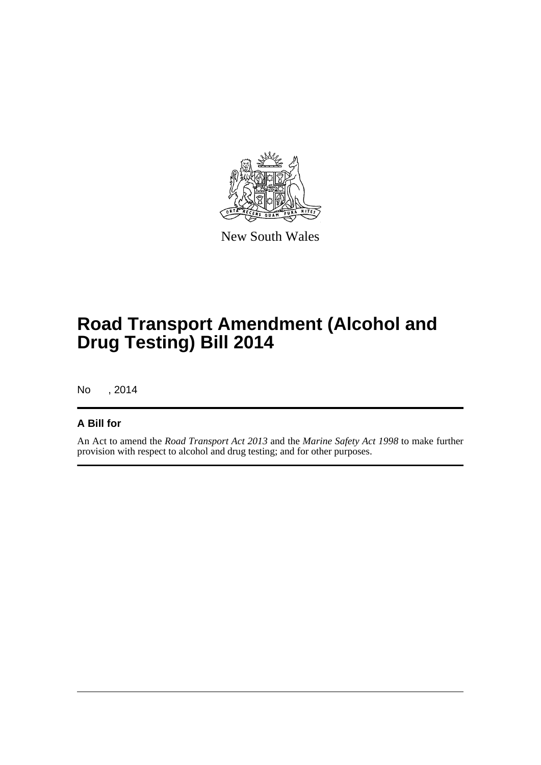

New South Wales

# **Road Transport Amendment (Alcohol and Drug Testing) Bill 2014**

No , 2014

### **A Bill for**

An Act to amend the *Road Transport Act 2013* and the *Marine Safety Act 1998* to make further provision with respect to alcohol and drug testing; and for other purposes.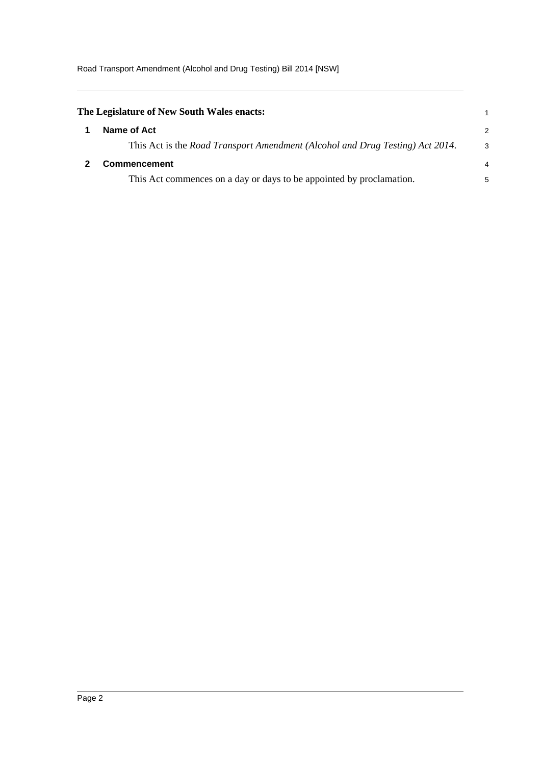<span id="page-6-1"></span><span id="page-6-0"></span>

| The Legislature of New South Wales enacts:                                    |   |
|-------------------------------------------------------------------------------|---|
| Name of Act                                                                   | 2 |
| This Act is the Road Transport Amendment (Alcohol and Drug Testing) Act 2014. | 3 |
| <b>Commencement</b>                                                           | 4 |
| This Act commences on a day or days to be appointed by proclamation.          | 5 |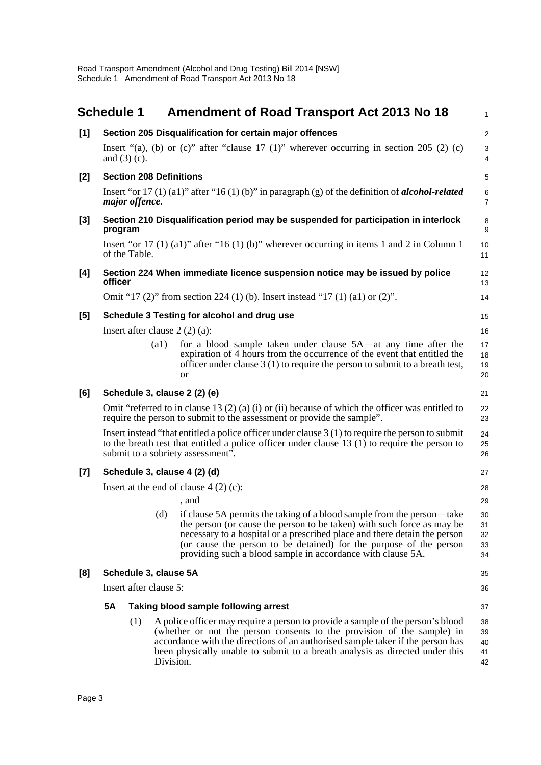<span id="page-7-0"></span>

|       | <b>Schedule 1</b> |                                               |                    | <b>Amendment of Road Transport Act 2013 No 18</b>                                                                                                                                                                                                                                                                                                                  | 1                          |  |  |  |  |
|-------|-------------------|-----------------------------------------------|--------------------|--------------------------------------------------------------------------------------------------------------------------------------------------------------------------------------------------------------------------------------------------------------------------------------------------------------------------------------------------------------------|----------------------------|--|--|--|--|
| $[1]$ |                   |                                               |                    | Section 205 Disqualification for certain major offences                                                                                                                                                                                                                                                                                                            | $\overline{\mathbf{c}}$    |  |  |  |  |
|       |                   | and $(3)$ (c).                                |                    | Insert "(a), (b) or (c)" after "clause 17 (1)" wherever occurring in section 205 (2) (c)                                                                                                                                                                                                                                                                           | 3<br>4                     |  |  |  |  |
| [2]   |                   | <b>Section 208 Definitions</b>                |                    |                                                                                                                                                                                                                                                                                                                                                                    |                            |  |  |  |  |
|       |                   | major offence.                                |                    | Insert "or 17 (1) (a1)" after "16 (1) (b)" in paragraph (g) of the definition of <b>alcohol-related</b>                                                                                                                                                                                                                                                            | 6<br>7                     |  |  |  |  |
| [3]   | program           |                                               |                    | Section 210 Disqualification period may be suspended for participation in interlock                                                                                                                                                                                                                                                                                | 8<br>9                     |  |  |  |  |
|       |                   | of the Table.                                 |                    | Insert "or 17 (1) (a1)" after "16 (1) (b)" wherever occurring in items 1 and 2 in Column 1                                                                                                                                                                                                                                                                         | 10<br>11                   |  |  |  |  |
| [4]   | officer           |                                               |                    | Section 224 When immediate licence suspension notice may be issued by police                                                                                                                                                                                                                                                                                       | 12<br>13                   |  |  |  |  |
|       |                   |                                               |                    | Omit "17 (2)" from section 224 (1) (b). Insert instead "17 (1) (a1) or (2)".                                                                                                                                                                                                                                                                                       | 14                         |  |  |  |  |
| [5]   |                   |                                               |                    | Schedule 3 Testing for alcohol and drug use                                                                                                                                                                                                                                                                                                                        | 15                         |  |  |  |  |
|       |                   |                                               |                    | Insert after clause $2(2)(a)$ :                                                                                                                                                                                                                                                                                                                                    | 16                         |  |  |  |  |
|       |                   |                                               | $\left( a1\right)$ | for a blood sample taken under clause 5A—at any time after the<br>expiration of 4 hours from the occurrence of the event that entitled the<br>officer under clause $3(1)$ to require the person to submit to a breath test,<br>or                                                                                                                                  | 17<br>18<br>19<br>20       |  |  |  |  |
| [6]   |                   |                                               |                    | Schedule 3, clause 2 (2) (e)                                                                                                                                                                                                                                                                                                                                       | 21                         |  |  |  |  |
|       |                   |                                               |                    | Omit "referred to in clause 13 (2) (a) (i) or (ii) because of which the officer was entitled to<br>require the person to submit to the assessment or provide the sample".                                                                                                                                                                                          | 22<br>23                   |  |  |  |  |
|       |                   |                                               |                    | Insert instead "that entitled a police officer under clause $3(1)$ to require the person to submit<br>to the breath test that entitled a police officer under clause $13(1)$ to require the person to<br>submit to a sobriety assessment".                                                                                                                         | 24<br>25<br>26             |  |  |  |  |
| $[7]$ |                   |                                               |                    | Schedule 3, clause 4 (2) (d)                                                                                                                                                                                                                                                                                                                                       | 27                         |  |  |  |  |
|       |                   | Insert at the end of clause $4(2)(c)$ :<br>28 |                    |                                                                                                                                                                                                                                                                                                                                                                    |                            |  |  |  |  |
|       |                   |                                               |                    | , and                                                                                                                                                                                                                                                                                                                                                              | 29                         |  |  |  |  |
|       |                   |                                               | (d)                | if clause 5A permits the taking of a blood sample from the person—take<br>the person (or cause the person to be taken) with such force as may be<br>necessary to a hospital or a prescribed place and there detain the person<br>(or cause the person to be detained) for the purpose of the person<br>providing such a blood sample in accordance with clause 5A. | 30<br>31<br>32<br>33<br>34 |  |  |  |  |
| [8]   |                   | Schedule 3, clause 5A                         |                    |                                                                                                                                                                                                                                                                                                                                                                    | 35                         |  |  |  |  |
|       |                   | Insert after clause 5:                        |                    |                                                                                                                                                                                                                                                                                                                                                                    |                            |  |  |  |  |
|       | <b>5A</b>         |                                               |                    | Taking blood sample following arrest                                                                                                                                                                                                                                                                                                                               | 37                         |  |  |  |  |
|       |                   | (1)                                           | Division.          | A police officer may require a person to provide a sample of the person's blood<br>(whether or not the person consents to the provision of the sample) in<br>accordance with the directions of an authorised sample taker if the person has<br>been physically unable to submit to a breath analysis as directed under this                                        | 38<br>39<br>40<br>41<br>42 |  |  |  |  |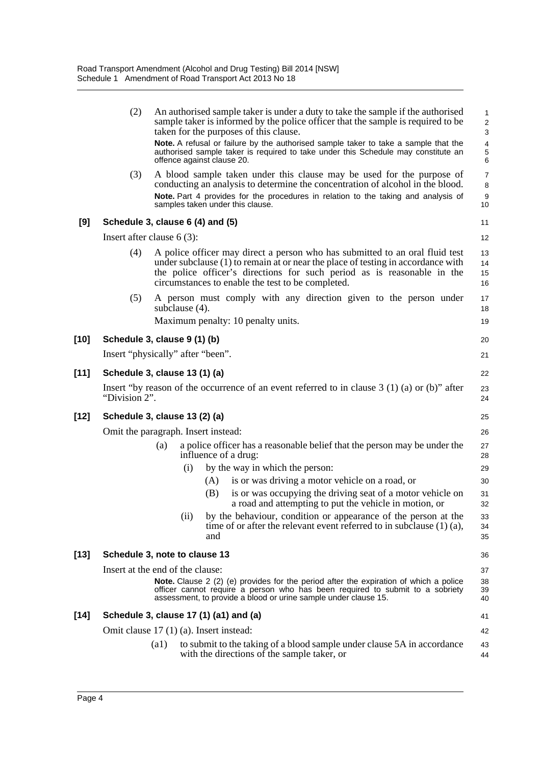| (2)<br>taken for the purposes of this clause.<br>offence against clause 20.<br>(3)<br>samples taken under this clause.<br>[9]<br>Schedule 3, clause 6 (4) and (5)<br>Insert after clause $6(3)$ :<br>(4)<br>circumstances to enable the test to be completed.<br>(5)<br>subclause $(4)$ .<br>Maximum penalty: 10 penalty units.<br>Schedule 3, clause 9 (1) (b)<br>Insert "physically" after "been".<br>Schedule 3, clause 13 (1) (a)<br>"Division 2".<br>Schedule 3, clause 13 (2) (a)<br>Omit the paragraph. Insert instead:<br>(a)<br>influence of a drug:<br>by the way in which the person:<br>(i)<br>is or was driving a motor vehicle on a road, or<br>(A)<br>is or was occupying the driving seat of a motor vehicle on<br>(B) |  |                                                                                                                                                                                                                                                                                                                                                 |                                                      |
|----------------------------------------------------------------------------------------------------------------------------------------------------------------------------------------------------------------------------------------------------------------------------------------------------------------------------------------------------------------------------------------------------------------------------------------------------------------------------------------------------------------------------------------------------------------------------------------------------------------------------------------------------------------------------------------------------------------------------------------|--|-------------------------------------------------------------------------------------------------------------------------------------------------------------------------------------------------------------------------------------------------------------------------------------------------------------------------------------------------|------------------------------------------------------|
|                                                                                                                                                                                                                                                                                                                                                                                                                                                                                                                                                                                                                                                                                                                                        |  | An authorised sample taker is under a duty to take the sample if the authorised<br>sample taker is informed by the police officer that the sample is required to be<br>Note. A refusal or failure by the authorised sample taker to take a sample that the<br>authorised sample taker is required to take under this Schedule may constitute an | 1<br>$\overline{2}$<br>3<br>$\overline{4}$<br>5<br>6 |
| [10]<br>$[11]$<br>[12]                                                                                                                                                                                                                                                                                                                                                                                                                                                                                                                                                                                                                                                                                                                 |  | A blood sample taken under this clause may be used for the purpose of<br>conducting an analysis to determine the concentration of alcohol in the blood.<br>Note. Part 4 provides for the procedures in relation to the taking and analysis of                                                                                                   | $\overline{7}$<br>8<br>9<br>10                       |
|                                                                                                                                                                                                                                                                                                                                                                                                                                                                                                                                                                                                                                                                                                                                        |  |                                                                                                                                                                                                                                                                                                                                                 | 11                                                   |
|                                                                                                                                                                                                                                                                                                                                                                                                                                                                                                                                                                                                                                                                                                                                        |  |                                                                                                                                                                                                                                                                                                                                                 | 12                                                   |
|                                                                                                                                                                                                                                                                                                                                                                                                                                                                                                                                                                                                                                                                                                                                        |  | A police officer may direct a person who has submitted to an oral fluid test<br>under subclause (1) to remain at or near the place of testing in accordance with<br>the police officer's directions for such period as is reasonable in the                                                                                                     | 13<br>14<br>15<br>16                                 |
|                                                                                                                                                                                                                                                                                                                                                                                                                                                                                                                                                                                                                                                                                                                                        |  | A person must comply with any direction given to the person under                                                                                                                                                                                                                                                                               | 17<br>18                                             |
|                                                                                                                                                                                                                                                                                                                                                                                                                                                                                                                                                                                                                                                                                                                                        |  |                                                                                                                                                                                                                                                                                                                                                 | 19                                                   |
|                                                                                                                                                                                                                                                                                                                                                                                                                                                                                                                                                                                                                                                                                                                                        |  |                                                                                                                                                                                                                                                                                                                                                 | 20                                                   |
|                                                                                                                                                                                                                                                                                                                                                                                                                                                                                                                                                                                                                                                                                                                                        |  |                                                                                                                                                                                                                                                                                                                                                 | 21                                                   |
|                                                                                                                                                                                                                                                                                                                                                                                                                                                                                                                                                                                                                                                                                                                                        |  |                                                                                                                                                                                                                                                                                                                                                 | 22                                                   |
|                                                                                                                                                                                                                                                                                                                                                                                                                                                                                                                                                                                                                                                                                                                                        |  | Insert "by reason of the occurrence of an event referred to in clause 3 (1) (a) or (b)" after                                                                                                                                                                                                                                                   | 23<br>24                                             |
|                                                                                                                                                                                                                                                                                                                                                                                                                                                                                                                                                                                                                                                                                                                                        |  |                                                                                                                                                                                                                                                                                                                                                 | 25                                                   |
|                                                                                                                                                                                                                                                                                                                                                                                                                                                                                                                                                                                                                                                                                                                                        |  |                                                                                                                                                                                                                                                                                                                                                 | 26                                                   |
|                                                                                                                                                                                                                                                                                                                                                                                                                                                                                                                                                                                                                                                                                                                                        |  | a police officer has a reasonable belief that the person may be under the                                                                                                                                                                                                                                                                       | 27<br>28                                             |
|                                                                                                                                                                                                                                                                                                                                                                                                                                                                                                                                                                                                                                                                                                                                        |  |                                                                                                                                                                                                                                                                                                                                                 | 29                                                   |
|                                                                                                                                                                                                                                                                                                                                                                                                                                                                                                                                                                                                                                                                                                                                        |  |                                                                                                                                                                                                                                                                                                                                                 | 30                                                   |
|                                                                                                                                                                                                                                                                                                                                                                                                                                                                                                                                                                                                                                                                                                                                        |  | a road and attempting to put the vehicle in motion, or                                                                                                                                                                                                                                                                                          | 31<br>32                                             |
| and                                                                                                                                                                                                                                                                                                                                                                                                                                                                                                                                                                                                                                                                                                                                    |  | (ii)<br>by the behaviour, condition or appearance of the person at the<br>time of or after the relevant event referred to in subclause $(1)$ $(a)$ ,                                                                                                                                                                                            | 33<br>34<br>35                                       |
| $[13]$<br>Schedule 3, note to clause 13                                                                                                                                                                                                                                                                                                                                                                                                                                                                                                                                                                                                                                                                                                |  |                                                                                                                                                                                                                                                                                                                                                 | 36                                                   |
| Insert at the end of the clause:                                                                                                                                                                                                                                                                                                                                                                                                                                                                                                                                                                                                                                                                                                       |  |                                                                                                                                                                                                                                                                                                                                                 | 37                                                   |
| assessment, to provide a blood or urine sample under clause 15.                                                                                                                                                                                                                                                                                                                                                                                                                                                                                                                                                                                                                                                                        |  | <b>Note.</b> Clause 2 $(2)$ (e) provides for the period after the expiration of which a police<br>officer cannot require a person who has been required to submit to a sobriety                                                                                                                                                                 | 38<br>39<br>40                                       |
|                                                                                                                                                                                                                                                                                                                                                                                                                                                                                                                                                                                                                                                                                                                                        |  |                                                                                                                                                                                                                                                                                                                                                 | 41                                                   |
| $[14]$<br>Schedule 3, clause 17 (1) (a1) and (a)                                                                                                                                                                                                                                                                                                                                                                                                                                                                                                                                                                                                                                                                                       |  |                                                                                                                                                                                                                                                                                                                                                 | 42                                                   |
| Omit clause 17 (1) (a). Insert instead:                                                                                                                                                                                                                                                                                                                                                                                                                                                                                                                                                                                                                                                                                                |  | to submit to the taking of a blood sample under clause 5A in accordance<br>$\left( a1\right)$<br>with the directions of the sample taker, or                                                                                                                                                                                                    | 43<br>44                                             |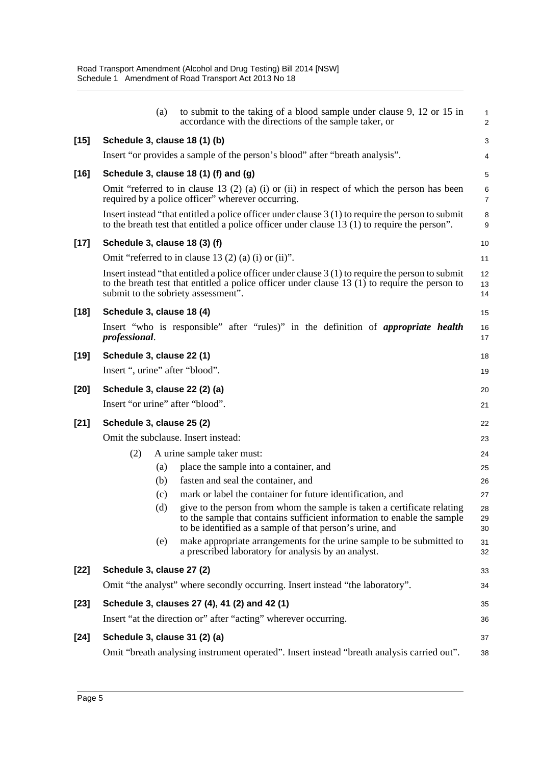|        | (a)                             | to submit to the taking of a blood sample under clause 9, 12 or 15 in<br>accordance with the directions of the sample taker, or                                                                                                              | 1<br>$\overline{2}$ |
|--------|---------------------------------|----------------------------------------------------------------------------------------------------------------------------------------------------------------------------------------------------------------------------------------------|---------------------|
| $[15]$ | Schedule 3, clause 18 (1) (b)   |                                                                                                                                                                                                                                              | 3                   |
|        |                                 | Insert "or provides a sample of the person's blood" after "breath analysis".                                                                                                                                                                 | 4                   |
| $[16]$ |                                 | Schedule 3, clause 18 (1) (f) and (g)                                                                                                                                                                                                        | 5                   |
|        |                                 | Omit "referred to in clause 13 (2) (a) (i) or (ii) in respect of which the person has been<br>required by a police officer" wherever occurring.                                                                                              | 6<br>$\overline{7}$ |
|        |                                 | Insert instead "that entitled a police officer under clause $3(1)$ to require the person to submit<br>to the breath test that entitled a police officer under clause $13(1)$ to require the person".                                         | 8<br>9              |
| $[17]$ | Schedule 3, clause 18 (3) (f)   |                                                                                                                                                                                                                                              | 10                  |
|        |                                 | Omit "referred to in clause 13 $(2)$ (a) (i) or (ii)".                                                                                                                                                                                       | 11                  |
|        |                                 | Insert instead "that entitled a police officer under clause $3(1)$ to require the person to submit<br>to the breath test that entitled a police officer under clause $13(1)$ to require the person to<br>submit to the sobriety assessment". | 12<br>13<br>14      |
| $[18]$ | Schedule 3, clause 18 (4)       |                                                                                                                                                                                                                                              | 15                  |
|        | professional.                   | Insert "who is responsible" after "rules)" in the definition of <i>appropriate health</i>                                                                                                                                                    | 16<br>17            |
| $[19]$ | Schedule 3, clause 22 (1)       |                                                                                                                                                                                                                                              | 18                  |
|        | Insert ", urine" after "blood". |                                                                                                                                                                                                                                              | 19                  |
| $[20]$ | Schedule 3, clause 22 (2) (a)   |                                                                                                                                                                                                                                              | 20                  |
|        |                                 | Insert "or urine" after "blood".                                                                                                                                                                                                             | 21                  |
| $[21]$ | Schedule 3, clause 25 (2)       |                                                                                                                                                                                                                                              | 22                  |
|        |                                 | Omit the subclause. Insert instead:                                                                                                                                                                                                          | 23                  |
|        | (2)                             | A urine sample taker must:                                                                                                                                                                                                                   | 24                  |
|        | (a)                             | place the sample into a container, and                                                                                                                                                                                                       | 25                  |
|        | (b)                             | fasten and seal the container, and                                                                                                                                                                                                           | 26                  |
|        | (c)                             | mark or label the container for future identification, and                                                                                                                                                                                   | 27                  |
|        | (d)                             | give to the person from whom the sample is taken a certificate relating<br>to the sample that contains sufficient information to enable the sample<br>to be identified as a sample of that person's urine, and                               | 28<br>29<br>30      |
|        | (e)                             | make appropriate arrangements for the urine sample to be submitted to<br>a prescribed laboratory for analysis by an analyst.                                                                                                                 | 31<br>32            |
| $[22]$ | Schedule 3, clause 27 (2)       |                                                                                                                                                                                                                                              | 33                  |
|        |                                 | Omit "the analyst" where secondly occurring. Insert instead "the laboratory".                                                                                                                                                                | 34                  |
| $[23]$ |                                 | Schedule 3, clauses 27 (4), 41 (2) and 42 (1)                                                                                                                                                                                                | 35                  |
|        |                                 | Insert "at the direction or" after "acting" wherever occurring.                                                                                                                                                                              | 36                  |
| $[24]$ | Schedule 3, clause 31 (2) (a)   |                                                                                                                                                                                                                                              | 37                  |
|        |                                 | Omit "breath analysing instrument operated". Insert instead "breath analysis carried out".                                                                                                                                                   | 38                  |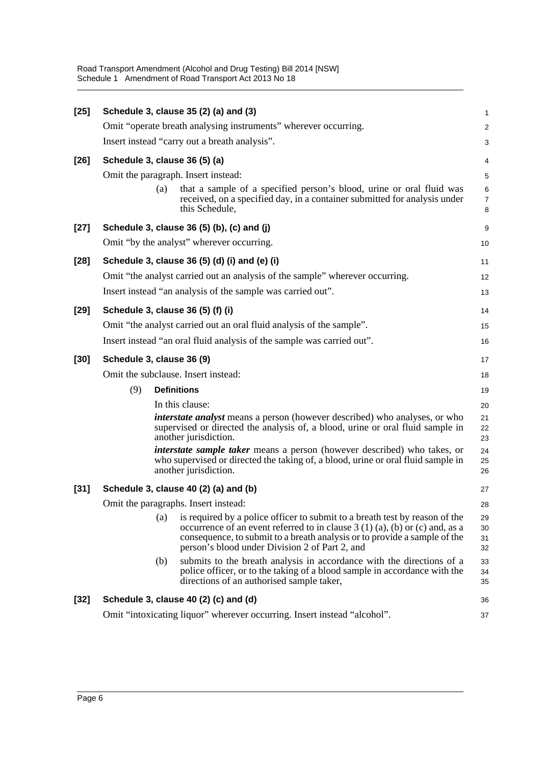Road Transport Amendment (Alcohol and Drug Testing) Bill 2014 [NSW] Schedule 1 Amendment of Road Transport Act 2013 No 18

| $[25]$ |                                                                                                                                                                                              |                                                                      | Schedule 3, clause 35 (2) (a) and (3)                                                                                                                                                                                                                                                       | $\mathbf{1}$             |  |  |  |  |
|--------|----------------------------------------------------------------------------------------------------------------------------------------------------------------------------------------------|----------------------------------------------------------------------|---------------------------------------------------------------------------------------------------------------------------------------------------------------------------------------------------------------------------------------------------------------------------------------------|--------------------------|--|--|--|--|
|        |                                                                                                                                                                                              |                                                                      | Omit "operate breath analysing instruments" wherever occurring.                                                                                                                                                                                                                             | $\overline{2}$           |  |  |  |  |
|        |                                                                                                                                                                                              |                                                                      | Insert instead "carry out a breath analysis".                                                                                                                                                                                                                                               | 3                        |  |  |  |  |
| $[26]$ |                                                                                                                                                                                              |                                                                      | Schedule 3, clause 36 (5) (a)                                                                                                                                                                                                                                                               | 4                        |  |  |  |  |
|        |                                                                                                                                                                                              |                                                                      | Omit the paragraph. Insert instead:                                                                                                                                                                                                                                                         | 5                        |  |  |  |  |
|        |                                                                                                                                                                                              | (a)                                                                  | that a sample of a specified person's blood, urine or oral fluid was<br>received, on a specified day, in a container submitted for analysis under<br>this Schedule,                                                                                                                         | 6<br>$\overline{7}$<br>8 |  |  |  |  |
| $[27]$ |                                                                                                                                                                                              |                                                                      | Schedule 3, clause 36 (5) (b), (c) and (j)                                                                                                                                                                                                                                                  | 9                        |  |  |  |  |
|        |                                                                                                                                                                                              |                                                                      | Omit "by the analyst" wherever occurring.                                                                                                                                                                                                                                                   | 10                       |  |  |  |  |
| $[28]$ |                                                                                                                                                                                              |                                                                      | Schedule 3, clause 36 (5) (d) (i) and (e) (i)                                                                                                                                                                                                                                               | 11                       |  |  |  |  |
|        | Omit "the analyst carried out an analysis of the sample" wherever occurring.                                                                                                                 |                                                                      |                                                                                                                                                                                                                                                                                             |                          |  |  |  |  |
|        |                                                                                                                                                                                              |                                                                      | Insert instead "an analysis of the sample was carried out".                                                                                                                                                                                                                                 | 13                       |  |  |  |  |
| $[29]$ |                                                                                                                                                                                              |                                                                      | Schedule 3, clause 36 (5) (f) (i)                                                                                                                                                                                                                                                           | 14                       |  |  |  |  |
|        |                                                                                                                                                                                              | Omit "the analyst carried out an oral fluid analysis of the sample". |                                                                                                                                                                                                                                                                                             |                          |  |  |  |  |
|        | Insert instead "an oral fluid analysis of the sample was carried out".                                                                                                                       |                                                                      |                                                                                                                                                                                                                                                                                             |                          |  |  |  |  |
| $[30]$ | Schedule 3, clause 36 (9)                                                                                                                                                                    |                                                                      |                                                                                                                                                                                                                                                                                             |                          |  |  |  |  |
|        | Omit the subclause. Insert instead:                                                                                                                                                          |                                                                      |                                                                                                                                                                                                                                                                                             |                          |  |  |  |  |
|        | (9)                                                                                                                                                                                          |                                                                      | <b>Definitions</b>                                                                                                                                                                                                                                                                          | 19                       |  |  |  |  |
|        |                                                                                                                                                                                              |                                                                      | In this clause:                                                                                                                                                                                                                                                                             | 20                       |  |  |  |  |
|        | <i>interstate analyst</i> means a person (however described) who analyses, or who<br>supervised or directed the analysis of, a blood, urine or oral fluid sample in<br>another jurisdiction. |                                                                      |                                                                                                                                                                                                                                                                                             |                          |  |  |  |  |
|        | <i>interstate sample taker</i> means a person (however described) who takes, or<br>who supervised or directed the taking of, a blood, urine or oral fluid sample in<br>another jurisdiction. |                                                                      |                                                                                                                                                                                                                                                                                             |                          |  |  |  |  |
| $[31]$ |                                                                                                                                                                                              |                                                                      | Schedule 3, clause 40 (2) (a) and (b)                                                                                                                                                                                                                                                       | 27                       |  |  |  |  |
|        | Omit the paragraphs. Insert instead:<br>28                                                                                                                                                   |                                                                      |                                                                                                                                                                                                                                                                                             |                          |  |  |  |  |
|        |                                                                                                                                                                                              | (a)                                                                  | is required by a police officer to submit to a breath test by reason of the<br>occurrence of an event referred to in clause $3(1)(a)$ , (b) or (c) and, as a<br>consequence, to submit to a breath analysis or to provide a sample of the<br>person's blood under Division 2 of Part 2, and | 29<br>30<br>31<br>32     |  |  |  |  |
|        |                                                                                                                                                                                              | (b)                                                                  | submits to the breath analysis in accordance with the directions of a<br>police officer, or to the taking of a blood sample in accordance with the<br>directions of an authorised sample taker,                                                                                             | 33<br>34<br>35           |  |  |  |  |
| $[32]$ |                                                                                                                                                                                              |                                                                      | Schedule 3, clause 40 (2) (c) and (d)                                                                                                                                                                                                                                                       | 36                       |  |  |  |  |
|        |                                                                                                                                                                                              |                                                                      | Omit "intoxicating liquor" wherever occurring. Insert instead "alcohol".                                                                                                                                                                                                                    | 37                       |  |  |  |  |
|        |                                                                                                                                                                                              |                                                                      |                                                                                                                                                                                                                                                                                             |                          |  |  |  |  |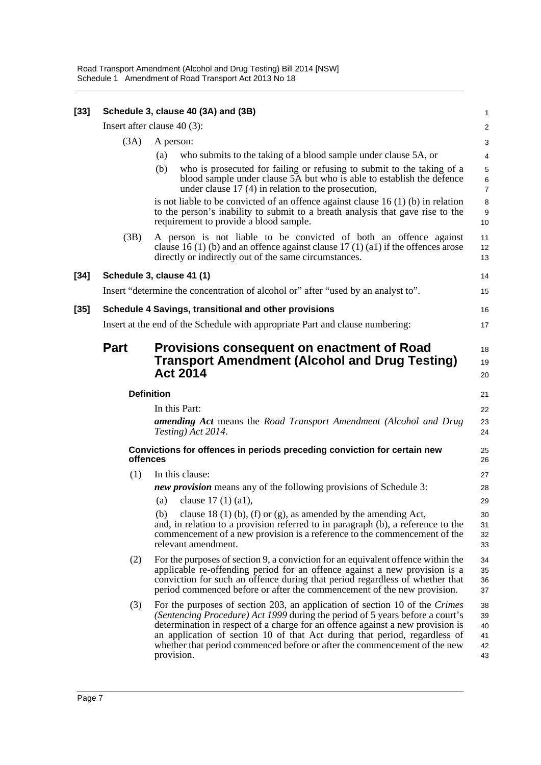| $[33]$ | Schedule 3, clause 40 (3A) and (3B) |                                                                                                                                                                                                                                                                                                                                                                                                                         |                                  |  |  |  |
|--------|-------------------------------------|-------------------------------------------------------------------------------------------------------------------------------------------------------------------------------------------------------------------------------------------------------------------------------------------------------------------------------------------------------------------------------------------------------------------------|----------------------------------|--|--|--|
|        |                                     | Insert after clause $40(3)$ :                                                                                                                                                                                                                                                                                                                                                                                           | $\overline{\mathbf{c}}$          |  |  |  |
|        | (3A)                                | A person:                                                                                                                                                                                                                                                                                                                                                                                                               | 3                                |  |  |  |
|        |                                     | (a)<br>who submits to the taking of a blood sample under clause 5A, or                                                                                                                                                                                                                                                                                                                                                  | 4                                |  |  |  |
|        |                                     | (b)<br>who is prosecuted for failing or refusing to submit to the taking of a<br>blood sample under clause 5A but who is able to establish the defence<br>under clause $17(4)$ in relation to the prosecution,                                                                                                                                                                                                          | 5<br>6<br>$\overline{7}$         |  |  |  |
|        |                                     | is not liable to be convicted of an offence against clause $16(1)(b)$ in relation<br>to the person's inability to submit to a breath analysis that gave rise to the<br>requirement to provide a blood sample.                                                                                                                                                                                                           | 8<br>9<br>10                     |  |  |  |
|        | (3B)                                | A person is not liable to be convicted of both an offence against<br>clause 16 (1) (b) and an offence against clause 17 (1) (a1) if the offences arose<br>directly or indirectly out of the same circumstances.                                                                                                                                                                                                         | 11<br>12<br>13                   |  |  |  |
| $[34]$ |                                     | Schedule 3, clause 41 (1)                                                                                                                                                                                                                                                                                                                                                                                               | 14                               |  |  |  |
|        |                                     | Insert "determine the concentration of alcohol or" after "used by an analyst to".                                                                                                                                                                                                                                                                                                                                       | 15                               |  |  |  |
| $[35]$ |                                     | Schedule 4 Savings, transitional and other provisions                                                                                                                                                                                                                                                                                                                                                                   | 16                               |  |  |  |
|        |                                     | Insert at the end of the Schedule with appropriate Part and clause numbering:                                                                                                                                                                                                                                                                                                                                           | 17                               |  |  |  |
|        | <b>Part</b>                         | Provisions consequent on enactment of Road<br><b>Transport Amendment (Alcohol and Drug Testing)</b><br><b>Act 2014</b>                                                                                                                                                                                                                                                                                                  | 18<br>19<br>20                   |  |  |  |
|        |                                     | <b>Definition</b>                                                                                                                                                                                                                                                                                                                                                                                                       | 21                               |  |  |  |
|        |                                     | In this Part:                                                                                                                                                                                                                                                                                                                                                                                                           | 22                               |  |  |  |
|        |                                     | <b>amending Act</b> means the Road Transport Amendment (Alcohol and Drug<br>Testing) Act 2014.                                                                                                                                                                                                                                                                                                                          | 23<br>24                         |  |  |  |
|        |                                     | Convictions for offences in periods preceding conviction for certain new<br>offences                                                                                                                                                                                                                                                                                                                                    | 25<br>26                         |  |  |  |
|        | (1)                                 | In this clause:                                                                                                                                                                                                                                                                                                                                                                                                         | 27                               |  |  |  |
|        |                                     | new provision means any of the following provisions of Schedule 3:                                                                                                                                                                                                                                                                                                                                                      | 28                               |  |  |  |
|        |                                     | clause 17 (1) (a1),<br>(a)                                                                                                                                                                                                                                                                                                                                                                                              | 29                               |  |  |  |
|        |                                     | clause 18 (1) (b), (f) or (g), as amended by the amending Act,<br>(b)<br>and, in relation to a provision referred to in paragraph (b), a reference to the<br>commencement of a new provision is a reference to the commencement of the<br>relevant amendment.                                                                                                                                                           | 30<br>31<br>32<br>33             |  |  |  |
|        | (2)                                 | For the purposes of section 9, a conviction for an equivalent offence within the<br>applicable re-offending period for an offence against a new provision is a<br>conviction for such an offence during that period regardless of whether that<br>period commenced before or after the commencement of the new provision.                                                                                               | 34<br>35<br>36<br>37             |  |  |  |
|        | (3)                                 | For the purposes of section 203, an application of section 10 of the Crimes<br>(Sentencing Procedure) Act 1999 during the period of 5 years before a court's<br>determination in respect of a charge for an offence against a new provision is<br>an application of section 10 of that Act during that period, regardless of<br>whether that period commenced before or after the commencement of the new<br>provision. | 38<br>39<br>40<br>41<br>42<br>43 |  |  |  |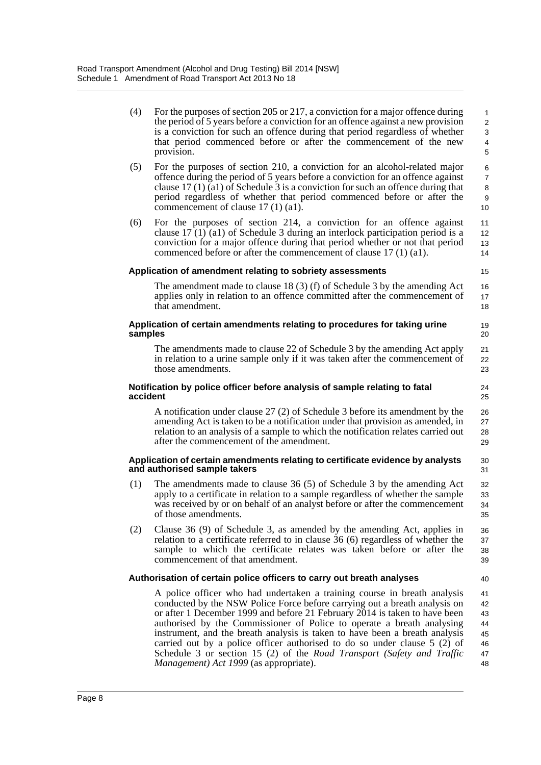| (4) | For the purposes of section 205 or 217, a conviction for a major offence during<br>the period of 5 years before a conviction for an offence against a new provision | $\overline{1}$<br>$\overline{2}$ |
|-----|---------------------------------------------------------------------------------------------------------------------------------------------------------------------|----------------------------------|
|     | is a conviction for such an offence during that period regardless of whether<br>that period commenced before or after the commencement of the new                   | - 3<br>$\overline{4}$            |
|     | provision.                                                                                                                                                          | -5                               |

(5) For the purposes of section 210, a conviction for an alcohol-related major offence during the period of 5 years before a conviction for an offence against clause 17 (1) (a1) of Schedule 3 is a conviction for such an offence during that period regardless of whether that period commenced before or after the commencement of clause 17 (1) (a1). 10

40

(6) For the purposes of section 214, a conviction for an offence against clause  $17(1)(a1)$  of Schedule 3 during an interlock participation period is a conviction for a major offence during that period whether or not that period commenced before or after the commencement of clause 17 (1) (a1).

### **Application of amendment relating to sobriety assessments**

The amendment made to clause 18 (3) (f) of Schedule 3 by the amending Act applies only in relation to an offence committed after the commencement of that amendment.

#### **Application of certain amendments relating to procedures for taking urine samples**

The amendments made to clause 22 of Schedule 3 by the amending Act apply in relation to a urine sample only if it was taken after the commencement of those amendments.

#### **Notification by police officer before analysis of sample relating to fatal accident**

A notification under clause 27 (2) of Schedule 3 before its amendment by the amending Act is taken to be a notification under that provision as amended, in relation to an analysis of a sample to which the notification relates carried out after the commencement of the amendment. 26 27 28 29

#### **Application of certain amendments relating to certificate evidence by analysts and authorised sample takers**

- (1) The amendments made to clause 36 (5) of Schedule 3 by the amending Act apply to a certificate in relation to a sample regardless of whether the sample was received by or on behalf of an analyst before or after the commencement of those amendments.
- (2) Clause 36 (9) of Schedule 3, as amended by the amending Act, applies in relation to a certificate referred to in clause 36 (6) regardless of whether the sample to which the certificate relates was taken before or after the commencement of that amendment. 36 37 38 39

### **Authorisation of certain police officers to carry out breath analyses**

A police officer who had undertaken a training course in breath analysis conducted by the NSW Police Force before carrying out a breath analysis on or after 1 December 1999 and before 21 February 2014 is taken to have been authorised by the Commissioner of Police to operate a breath analysing instrument, and the breath analysis is taken to have been a breath analysis carried out by a police officer authorised to do so under clause 5 (2) of Schedule 3 or section 15 (2) of the *Road Transport (Safety and Traffic Management) Act 1999* (as appropriate). 41 42 43 44 45 46 47 48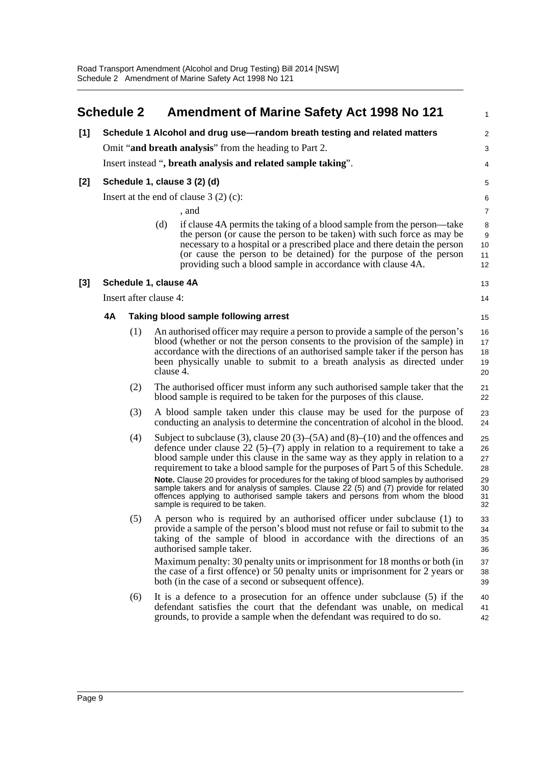<span id="page-13-0"></span>

|       | <b>Schedule 2</b>                       |                        |           | <b>Amendment of Marine Safety Act 1998 No 121</b>                                                                                                                                                                                                                                                                                                                                                                                                                                                                                                                                                                                       | $\mathbf{1}$                                 |  |  |  |
|-------|-----------------------------------------|------------------------|-----------|-----------------------------------------------------------------------------------------------------------------------------------------------------------------------------------------------------------------------------------------------------------------------------------------------------------------------------------------------------------------------------------------------------------------------------------------------------------------------------------------------------------------------------------------------------------------------------------------------------------------------------------------|----------------------------------------------|--|--|--|
| [1]   |                                         |                        |           | Schedule 1 Alcohol and drug use-random breath testing and related matters                                                                                                                                                                                                                                                                                                                                                                                                                                                                                                                                                               | 2                                            |  |  |  |
|       |                                         |                        |           | Omit "and breath analysis" from the heading to Part 2.                                                                                                                                                                                                                                                                                                                                                                                                                                                                                                                                                                                  | 3                                            |  |  |  |
|       |                                         |                        |           | Insert instead ", breath analysis and related sample taking".                                                                                                                                                                                                                                                                                                                                                                                                                                                                                                                                                                           | 4                                            |  |  |  |
| $[2]$ |                                         |                        |           | Schedule 1, clause 3 (2) (d)                                                                                                                                                                                                                                                                                                                                                                                                                                                                                                                                                                                                            | 5                                            |  |  |  |
|       | Insert at the end of clause $3(2)(c)$ : |                        |           |                                                                                                                                                                                                                                                                                                                                                                                                                                                                                                                                                                                                                                         |                                              |  |  |  |
|       |                                         |                        |           | , and                                                                                                                                                                                                                                                                                                                                                                                                                                                                                                                                                                                                                                   | $\overline{7}$                               |  |  |  |
|       |                                         |                        | (d)       | if clause 4A permits the taking of a blood sample from the person—take<br>the person (or cause the person to be taken) with such force as may be<br>necessary to a hospital or a prescribed place and there detain the person<br>(or cause the person to be detained) for the purpose of the person<br>providing such a blood sample in accordance with clause 4A.                                                                                                                                                                                                                                                                      | 8<br>$\boldsymbol{9}$<br>10<br>11<br>12      |  |  |  |
| $[3]$ |                                         | Schedule 1, clause 4A  |           |                                                                                                                                                                                                                                                                                                                                                                                                                                                                                                                                                                                                                                         | 13                                           |  |  |  |
|       |                                         | Insert after clause 4: |           |                                                                                                                                                                                                                                                                                                                                                                                                                                                                                                                                                                                                                                         | 14                                           |  |  |  |
|       | 4A                                      |                        |           | Taking blood sample following arrest                                                                                                                                                                                                                                                                                                                                                                                                                                                                                                                                                                                                    | 15                                           |  |  |  |
|       |                                         | (1)                    | clause 4. | An authorised officer may require a person to provide a sample of the person's<br>blood (whether or not the person consents to the provision of the sample) in<br>accordance with the directions of an authorised sample taker if the person has<br>been physically unable to submit to a breath analysis as directed under                                                                                                                                                                                                                                                                                                             | 16<br>17<br>18<br>19<br>20                   |  |  |  |
|       |                                         | (2)                    |           | The authorised officer must inform any such authorised sample taker that the<br>blood sample is required to be taken for the purposes of this clause.                                                                                                                                                                                                                                                                                                                                                                                                                                                                                   | 21<br>22                                     |  |  |  |
|       |                                         | (3)                    |           | A blood sample taken under this clause may be used for the purpose of<br>conducting an analysis to determine the concentration of alcohol in the blood.                                                                                                                                                                                                                                                                                                                                                                                                                                                                                 | 23<br>24                                     |  |  |  |
|       |                                         | (4)                    |           | Subject to subclause (3), clause 20 (3)–(5A) and (8)–(10) and the offences and<br>defence under clause 22 (5)–(7) apply in relation to a requirement to take a<br>blood sample under this clause in the same way as they apply in relation to a<br>requirement to take a blood sample for the purposes of Part 5 of this Schedule.<br>Note. Clause 20 provides for procedures for the taking of blood samples by authorised<br>sample takers and for analysis of samples. Clause 22 (5) and (7) provide for related<br>offences applying to authorised sample takers and persons from whom the blood<br>sample is required to be taken. | 25<br>26<br>27<br>28<br>29<br>30<br>31<br>32 |  |  |  |
|       |                                         | (5)                    |           | A person who is required by an authorised officer under subclause (1) to<br>provide a sample of the person's blood must not refuse or fail to submit to the<br>taking of the sample of blood in accordance with the directions of an<br>authorised sample taker.<br>Maximum penalty: 30 penalty units or imprisonment for 18 months or both (in<br>the case of a first offence) or 50 penalty units or imprisonment for 2 years or                                                                                                                                                                                                      | 33<br>34<br>35<br>36<br>37<br>38             |  |  |  |
|       |                                         | (6)                    |           | both (in the case of a second or subsequent offence).<br>It is a defence to a prosecution for an offence under subclause (5) if the<br>defendant satisfies the court that the defendant was unable, on medical<br>grounds, to provide a sample when the defendant was required to do so.                                                                                                                                                                                                                                                                                                                                                | 39<br>40<br>41<br>42                         |  |  |  |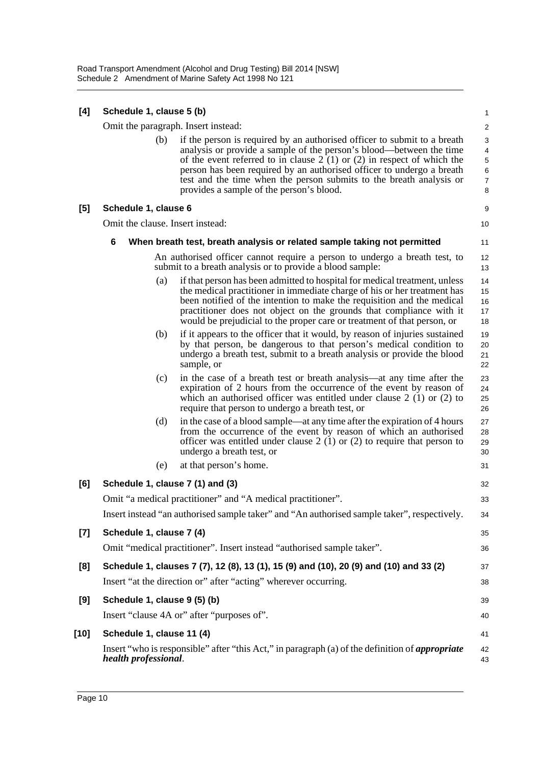| [4]    | Schedule 1, clause 5 (b)                                                                    |     |                                                                                                                                                                                                                                                                                                                                                                                                                           |                            |  |  |
|--------|---------------------------------------------------------------------------------------------|-----|---------------------------------------------------------------------------------------------------------------------------------------------------------------------------------------------------------------------------------------------------------------------------------------------------------------------------------------------------------------------------------------------------------------------------|----------------------------|--|--|
|        |                                                                                             |     | Omit the paragraph. Insert instead:                                                                                                                                                                                                                                                                                                                                                                                       | $\overline{\mathbf{c}}$    |  |  |
|        |                                                                                             | (b) | if the person is required by an authorised officer to submit to a breath<br>analysis or provide a sample of the person's blood—between the time<br>of the event referred to in clause $2(1)$ or $(2)$ in respect of which the<br>person has been required by an authorised officer to undergo a breath<br>test and the time when the person submits to the breath analysis or<br>provides a sample of the person's blood. | 3<br>4<br>5<br>6<br>7<br>8 |  |  |
| [5]    | Schedule 1, clause 6                                                                        |     |                                                                                                                                                                                                                                                                                                                                                                                                                           | 9                          |  |  |
|        |                                                                                             |     | Omit the clause. Insert instead:                                                                                                                                                                                                                                                                                                                                                                                          | 10                         |  |  |
|        | 6                                                                                           |     | When breath test, breath analysis or related sample taking not permitted                                                                                                                                                                                                                                                                                                                                                  | 11                         |  |  |
|        |                                                                                             |     | An authorised officer cannot require a person to undergo a breath test, to<br>submit to a breath analysis or to provide a blood sample:                                                                                                                                                                                                                                                                                   | 12<br>13                   |  |  |
|        |                                                                                             | (a) | if that person has been admitted to hospital for medical treatment, unless<br>the medical practitioner in immediate charge of his or her treatment has<br>been notified of the intention to make the requisition and the medical<br>practitioner does not object on the grounds that compliance with it<br>would be prejudicial to the proper care or treatment of that person, or                                        | 14<br>15<br>16<br>17<br>18 |  |  |
|        |                                                                                             | (b) | if it appears to the officer that it would, by reason of injuries sustained<br>by that person, be dangerous to that person's medical condition to<br>undergo a breath test, submit to a breath analysis or provide the blood<br>sample, or                                                                                                                                                                                | 19<br>20<br>21<br>22       |  |  |
|        |                                                                                             | (c) | in the case of a breath test or breath analysis—at any time after the<br>expiration of 2 hours from the occurrence of the event by reason of<br>which an authorised officer was entitled under clause $2(1)$ or $(2)$ to<br>require that person to undergo a breath test, or                                                                                                                                              | 23<br>24<br>25<br>26       |  |  |
|        |                                                                                             | (d) | in the case of a blood sample—at any time after the expiration of 4 hours<br>from the occurrence of the event by reason of which an authorised<br>officer was entitled under clause $2(1)$ or $(2)$ to require that person to<br>undergo a breath test, or                                                                                                                                                                | 27<br>28<br>29<br>30       |  |  |
|        |                                                                                             | (e) | at that person's home.                                                                                                                                                                                                                                                                                                                                                                                                    | 31                         |  |  |
| [6]    |                                                                                             |     | Schedule 1, clause 7 (1) and (3)                                                                                                                                                                                                                                                                                                                                                                                          | 32                         |  |  |
|        | Omit "a medical practitioner" and "A medical practitioner".                                 |     |                                                                                                                                                                                                                                                                                                                                                                                                                           |                            |  |  |
|        | Insert instead "an authorised sample taker" and "An authorised sample taker", respectively. |     |                                                                                                                                                                                                                                                                                                                                                                                                                           |                            |  |  |
| $[7]$  | Schedule 1, clause 7 (4)                                                                    |     |                                                                                                                                                                                                                                                                                                                                                                                                                           | 35                         |  |  |
|        |                                                                                             |     | Omit "medical practitioner". Insert instead "authorised sample taker".                                                                                                                                                                                                                                                                                                                                                    | 36                         |  |  |
| [8]    |                                                                                             |     | Schedule 1, clauses 7 (7), 12 (8), 13 (1), 15 (9) and (10), 20 (9) and (10) and 33 (2)                                                                                                                                                                                                                                                                                                                                    | 37                         |  |  |
|        |                                                                                             |     | Insert "at the direction or" after "acting" wherever occurring.                                                                                                                                                                                                                                                                                                                                                           | 38                         |  |  |
| [9]    |                                                                                             |     | Schedule 1, clause 9 (5) (b)                                                                                                                                                                                                                                                                                                                                                                                              | 39                         |  |  |
|        |                                                                                             |     | Insert "clause 4A or" after "purposes of".                                                                                                                                                                                                                                                                                                                                                                                | 40                         |  |  |
| $[10]$ | Schedule 1, clause 11 (4)                                                                   |     |                                                                                                                                                                                                                                                                                                                                                                                                                           | 41                         |  |  |
|        | health professional.                                                                        |     | Insert "who is responsible" after "this Act," in paragraph (a) of the definition of <i>appropriate</i>                                                                                                                                                                                                                                                                                                                    | 42<br>43                   |  |  |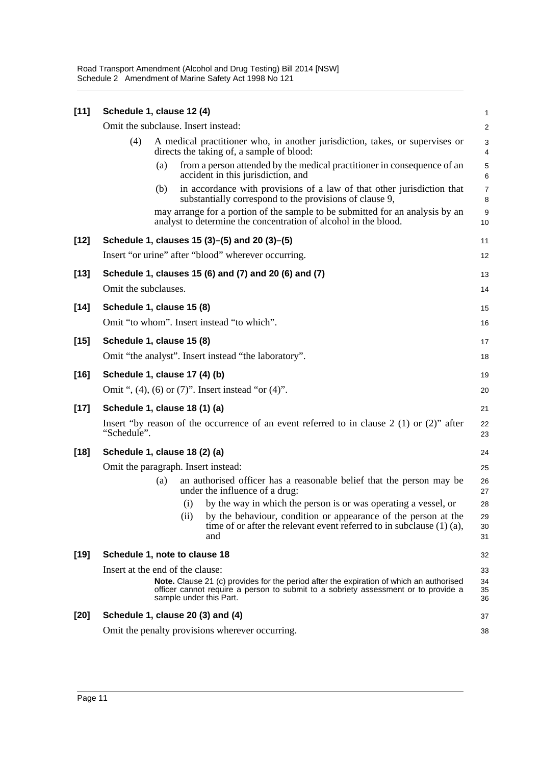Road Transport Amendment (Alcohol and Drug Testing) Bill 2014 [NSW] Schedule 2 Amendment of Marine Safety Act 1998 No 121

| $[11]$ | Schedule 1, clause 12 (4)                                                                                |     |                                                                                                                                                                                                                 | 1                   |  |
|--------|----------------------------------------------------------------------------------------------------------|-----|-----------------------------------------------------------------------------------------------------------------------------------------------------------------------------------------------------------------|---------------------|--|
|        |                                                                                                          |     | Omit the subclause. Insert instead:                                                                                                                                                                             | $\overline{a}$      |  |
|        | (4)                                                                                                      |     | A medical practitioner who, in another jurisdiction, takes, or supervises or<br>directs the taking of, a sample of blood:                                                                                       | 3<br>4              |  |
|        |                                                                                                          | (a) | from a person attended by the medical practitioner in consequence of an<br>accident in this jurisdiction, and                                                                                                   | 5<br>6              |  |
|        |                                                                                                          | (b) | in accordance with provisions of a law of that other jurisdiction that<br>substantially correspond to the provisions of clause 9,                                                                               | $\overline{7}$<br>8 |  |
|        |                                                                                                          |     | may arrange for a portion of the sample to be submitted for an analysis by an<br>analyst to determine the concentration of alcohol in the blood.                                                                | 9<br>10             |  |
| $[12]$ |                                                                                                          |     | Schedule 1, clauses 15 (3)–(5) and 20 (3)–(5)                                                                                                                                                                   | 11                  |  |
|        |                                                                                                          |     | Insert "or urine" after "blood" wherever occurring.                                                                                                                                                             | 12                  |  |
| $[13]$ |                                                                                                          |     | Schedule 1, clauses 15 (6) and (7) and 20 (6) and (7)                                                                                                                                                           | 13                  |  |
|        | Omit the subclauses.                                                                                     |     |                                                                                                                                                                                                                 | 14                  |  |
| $[14]$ | Schedule 1, clause 15 (8)                                                                                |     |                                                                                                                                                                                                                 | 15                  |  |
|        |                                                                                                          |     | Omit "to whom". Insert instead "to which".                                                                                                                                                                      | 16                  |  |
| $[15]$ | Schedule 1, clause 15 (8)                                                                                |     |                                                                                                                                                                                                                 | 17                  |  |
|        |                                                                                                          |     | Omit "the analyst". Insert instead "the laboratory".                                                                                                                                                            | 18                  |  |
| $[16]$ |                                                                                                          |     | Schedule 1, clause 17 (4) (b)                                                                                                                                                                                   | 19                  |  |
|        |                                                                                                          |     | Omit ", (4), (6) or (7)". Insert instead "or (4)".                                                                                                                                                              | 20                  |  |
| $[17]$ |                                                                                                          |     | Schedule 1, clause 18 (1) (a)                                                                                                                                                                                   | 21                  |  |
|        | Insert "by reason of the occurrence of an event referred to in clause 2 (1) or (2)" after<br>"Schedule". |     |                                                                                                                                                                                                                 |                     |  |
| $[18]$ |                                                                                                          |     | Schedule 1, clause 18 (2) (a)                                                                                                                                                                                   | 24                  |  |
|        |                                                                                                          |     | Omit the paragraph. Insert instead:                                                                                                                                                                             | 25                  |  |
|        |                                                                                                          | (a) | an authorised officer has a reasonable belief that the person may be<br>under the influence of a drug:                                                                                                          | 26<br>27            |  |
|        |                                                                                                          |     | (i)<br>by the way in which the person is or was operating a vessel, or                                                                                                                                          | 28                  |  |
|        |                                                                                                          |     | (ii)<br>by the behaviour, condition or appearance of the person at the<br>time of or after the relevant event referred to in subclause $(1)$ $(a)$ ,<br>and                                                     | 29<br>30<br>31      |  |
| $[19]$ |                                                                                                          |     | Schedule 1, note to clause 18                                                                                                                                                                                   | 32                  |  |
|        |                                                                                                          |     | Insert at the end of the clause:                                                                                                                                                                                | 33                  |  |
|        |                                                                                                          |     | <b>Note.</b> Clause 21 (c) provides for the period after the expiration of which an authorised<br>officer cannot require a person to submit to a sobriety assessment or to provide a<br>sample under this Part. | 34<br>35<br>36      |  |
| $[20]$ |                                                                                                          |     | Schedule 1, clause 20 (3) and (4)                                                                                                                                                                               | 37                  |  |
|        |                                                                                                          |     | Omit the penalty provisions wherever occurring.                                                                                                                                                                 | 38                  |  |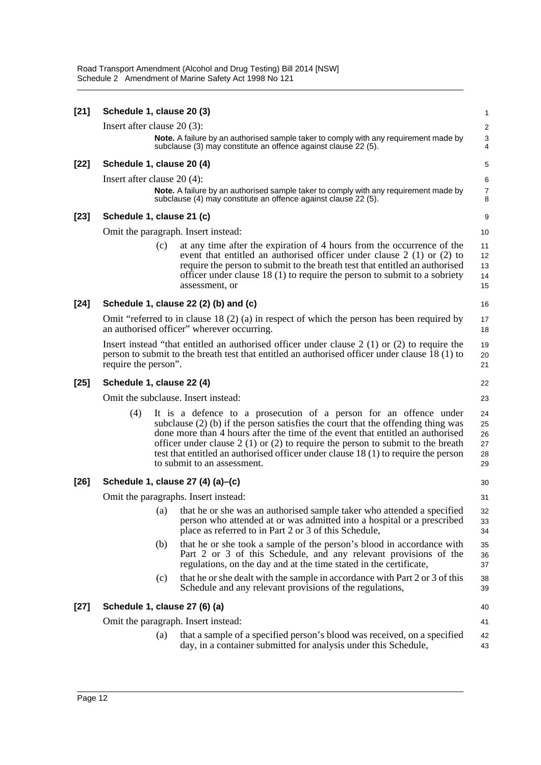| $[21]$ | Schedule 1, clause 20 (3)     |     |                                                                                                                                                                                                                                                                                                                                                                                                                                                      | 1                                |
|--------|-------------------------------|-----|------------------------------------------------------------------------------------------------------------------------------------------------------------------------------------------------------------------------------------------------------------------------------------------------------------------------------------------------------------------------------------------------------------------------------------------------------|----------------------------------|
|        | Insert after clause $20(3)$ : |     |                                                                                                                                                                                                                                                                                                                                                                                                                                                      | $\overline{\mathbf{c}}$          |
|        |                               |     | Note. A failure by an authorised sample taker to comply with any requirement made by<br>subclause (3) may constitute an offence against clause 22 (5).                                                                                                                                                                                                                                                                                               | $\frac{3}{4}$                    |
| $[22]$ | Schedule 1, clause 20 (4)     |     |                                                                                                                                                                                                                                                                                                                                                                                                                                                      | 5                                |
|        | Insert after clause $20(4)$ : |     |                                                                                                                                                                                                                                                                                                                                                                                                                                                      | 6                                |
|        |                               |     | Note. A failure by an authorised sample taker to comply with any requirement made by<br>subclause (4) may constitute an offence against clause 22 (5).                                                                                                                                                                                                                                                                                               | $\overline{7}$<br>8              |
| $[23]$ | Schedule 1, clause 21 (c)     |     |                                                                                                                                                                                                                                                                                                                                                                                                                                                      | 9                                |
|        |                               |     | Omit the paragraph. Insert instead:                                                                                                                                                                                                                                                                                                                                                                                                                  | 10                               |
|        |                               | (c) | at any time after the expiration of 4 hours from the occurrence of the<br>event that entitled an authorised officer under clause $2(1)$ or $(2)$ to<br>require the person to submit to the breath test that entitled an authorised<br>officer under clause $18(1)$ to require the person to submit to a sobriety<br>assessment, or                                                                                                                   | 11<br>12<br>13<br>14<br>15       |
| $[24]$ |                               |     | Schedule 1, clause 22 (2) (b) and (c)                                                                                                                                                                                                                                                                                                                                                                                                                | 16                               |
|        |                               |     | Omit "referred to in clause 18 $(2)$ (a) in respect of which the person has been required by<br>an authorised officer" wherever occurring.                                                                                                                                                                                                                                                                                                           | 17<br>18                         |
|        | require the person".          |     | Insert instead "that entitled an authorised officer under clause $2(1)$ or (2) to require the<br>person to submit to the breath test that entitled an authorised officer under clause $\hat{18}(1)$ to                                                                                                                                                                                                                                               | 19<br>20<br>21                   |
| $[25]$ | Schedule 1, clause 22 (4)     |     |                                                                                                                                                                                                                                                                                                                                                                                                                                                      | 22                               |
|        |                               |     | Omit the subclause. Insert instead:                                                                                                                                                                                                                                                                                                                                                                                                                  | 23                               |
|        | (4)                           |     | It is a defence to a prosecution of a person for an offence under<br>subclause $(2)$ (b) if the person satisfies the court that the offending thing was<br>done more than 4 hours after the time of the event that entitled an authorised<br>officer under clause $2(1)$ or $(2)$ to require the person to submit to the breath<br>test that entitled an authorised officer under clause 18 (1) to require the person<br>to submit to an assessment. | 24<br>25<br>26<br>27<br>28<br>29 |
| $[26]$ |                               |     | Schedule 1, clause 27 (4) (a)–(c)                                                                                                                                                                                                                                                                                                                                                                                                                    | 30                               |
|        |                               |     | Omit the paragraphs. Insert instead:                                                                                                                                                                                                                                                                                                                                                                                                                 | 31                               |
|        |                               |     | (a) that he or she was an authorised sample taker who attended a specified<br>person who attended at or was admitted into a hospital or a prescribed<br>place as referred to in Part 2 or 3 of this Schedule,                                                                                                                                                                                                                                        | 32<br>33<br>34                   |
|        |                               | (b) | that he or she took a sample of the person's blood in accordance with<br>Part 2 or 3 of this Schedule, and any relevant provisions of the<br>regulations, on the day and at the time stated in the certificate,                                                                                                                                                                                                                                      | 35<br>36<br>37                   |
|        |                               | (c) | that he or she dealt with the sample in accordance with Part 2 or 3 of this<br>Schedule and any relevant provisions of the regulations,                                                                                                                                                                                                                                                                                                              | 38<br>39                         |
| $[27]$ |                               |     | Schedule 1, clause 27 (6) (a)                                                                                                                                                                                                                                                                                                                                                                                                                        | 40                               |
|        |                               |     | Omit the paragraph. Insert instead:                                                                                                                                                                                                                                                                                                                                                                                                                  | 41                               |
|        |                               | (a) | that a sample of a specified person's blood was received, on a specified<br>day, in a container submitted for analysis under this Schedule,                                                                                                                                                                                                                                                                                                          | 42<br>43                         |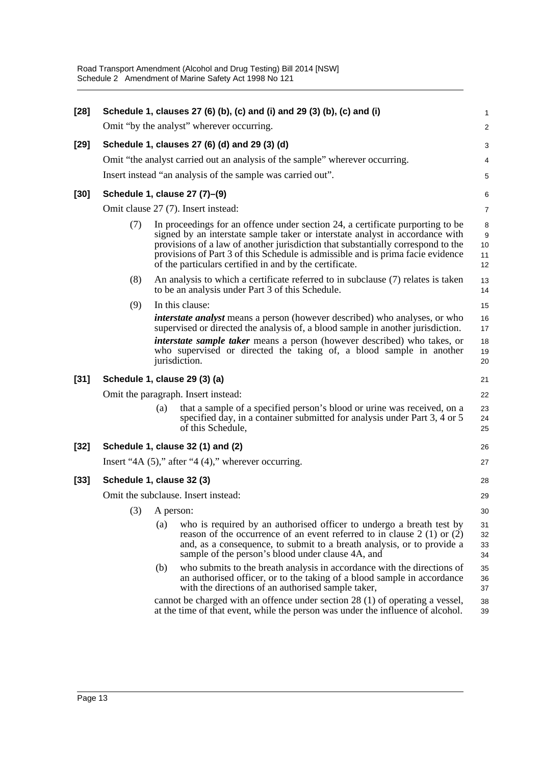| $[28]$ | Schedule 1, clauses 27 (6) (b), (c) and (i) and 29 (3) (b), (c) and (i)      |                                                                                                                                                                  |                                                                                                                                                                                                                                                                                                                                                                                                   |                          |  |  |
|--------|------------------------------------------------------------------------------|------------------------------------------------------------------------------------------------------------------------------------------------------------------|---------------------------------------------------------------------------------------------------------------------------------------------------------------------------------------------------------------------------------------------------------------------------------------------------------------------------------------------------------------------------------------------------|--------------------------|--|--|
|        | Omit "by the analyst" wherever occurring.                                    |                                                                                                                                                                  |                                                                                                                                                                                                                                                                                                                                                                                                   |                          |  |  |
| $[29]$ | Schedule 1, clauses 27 (6) (d) and 29 (3) (d)                                |                                                                                                                                                                  |                                                                                                                                                                                                                                                                                                                                                                                                   |                          |  |  |
|        | Omit "the analyst carried out an analysis of the sample" wherever occurring. |                                                                                                                                                                  |                                                                                                                                                                                                                                                                                                                                                                                                   |                          |  |  |
|        | Insert instead "an analysis of the sample was carried out".                  |                                                                                                                                                                  |                                                                                                                                                                                                                                                                                                                                                                                                   |                          |  |  |
| $[30]$ | Schedule 1, clause 27 (7)-(9)                                                |                                                                                                                                                                  |                                                                                                                                                                                                                                                                                                                                                                                                   |                          |  |  |
|        | Omit clause 27 (7). Insert instead:                                          |                                                                                                                                                                  |                                                                                                                                                                                                                                                                                                                                                                                                   |                          |  |  |
|        | (7)                                                                          |                                                                                                                                                                  | In proceedings for an offence under section 24, a certificate purporting to be<br>signed by an interstate sample taker or interstate analyst in accordance with<br>provisions of a law of another jurisdiction that substantially correspond to the<br>provisions of Part 3 of this Schedule is admissible and is prima facie evidence<br>of the particulars certified in and by the certificate. | 8<br>9<br>10<br>11<br>12 |  |  |
|        | (8)                                                                          |                                                                                                                                                                  | An analysis to which a certificate referred to in subclause (7) relates is taken<br>to be an analysis under Part 3 of this Schedule.                                                                                                                                                                                                                                                              | 13<br>14                 |  |  |
|        | (9)                                                                          |                                                                                                                                                                  | In this clause:                                                                                                                                                                                                                                                                                                                                                                                   | 15                       |  |  |
|        |                                                                              |                                                                                                                                                                  | <i>interstate analyst</i> means a person (however described) who analyses, or who<br>supervised or directed the analysis of, a blood sample in another jurisdiction.                                                                                                                                                                                                                              | 16<br>17                 |  |  |
|        |                                                                              |                                                                                                                                                                  | interstate sample taker means a person (however described) who takes, or<br>who supervised or directed the taking of, a blood sample in another<br>jurisdiction.                                                                                                                                                                                                                                  | 18<br>19<br>20           |  |  |
| $[31]$ | Schedule 1, clause 29 (3) (a)                                                |                                                                                                                                                                  |                                                                                                                                                                                                                                                                                                                                                                                                   |                          |  |  |
|        | Omit the paragraph. Insert instead:                                          |                                                                                                                                                                  |                                                                                                                                                                                                                                                                                                                                                                                                   |                          |  |  |
|        |                                                                              | (a)                                                                                                                                                              | that a sample of a specified person's blood or urine was received, on a<br>specified day, in a container submitted for analysis under Part 3, 4 or 5<br>of this Schedule,                                                                                                                                                                                                                         | 23<br>24<br>25           |  |  |
| $[32]$ | Schedule 1, clause 32 (1) and (2)                                            |                                                                                                                                                                  |                                                                                                                                                                                                                                                                                                                                                                                                   |                          |  |  |
|        | Insert "4A $(5)$ ," after "4 $(4)$ ," wherever occurring.                    |                                                                                                                                                                  |                                                                                                                                                                                                                                                                                                                                                                                                   |                          |  |  |
| $[33]$ | Schedule 1, clause 32 (3)                                                    |                                                                                                                                                                  |                                                                                                                                                                                                                                                                                                                                                                                                   |                          |  |  |
|        | Omit the subclause. Insert instead:                                          |                                                                                                                                                                  |                                                                                                                                                                                                                                                                                                                                                                                                   |                          |  |  |
|        |                                                                              |                                                                                                                                                                  | $(3)$ A person:                                                                                                                                                                                                                                                                                                                                                                                   |                          |  |  |
|        |                                                                              | (a)                                                                                                                                                              | who is required by an authorised officer to undergo a breath test by<br>reason of the occurrence of an event referred to in clause $2(1)$ or $(2)$<br>and, as a consequence, to submit to a breath analysis, or to provide a<br>sample of the person's blood under clause 4A, and                                                                                                                 | 31<br>32<br>33<br>34     |  |  |
|        |                                                                              | (b)                                                                                                                                                              | who submits to the breath analysis in accordance with the directions of<br>an authorised officer, or to the taking of a blood sample in accordance<br>with the directions of an authorised sample taker,                                                                                                                                                                                          | 35<br>36<br>37           |  |  |
|        |                                                                              | cannot be charged with an offence under section 28 (1) of operating a vessel,<br>at the time of that event, while the person was under the influence of alcohol. |                                                                                                                                                                                                                                                                                                                                                                                                   |                          |  |  |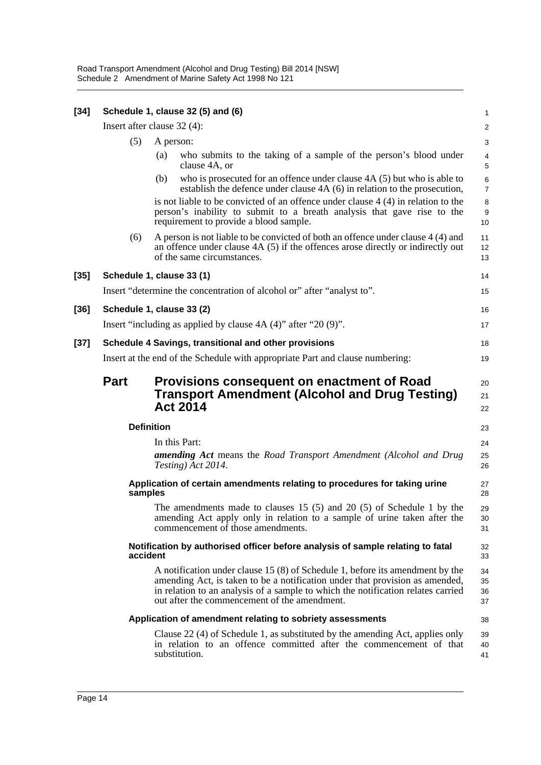| $[34]$ | Schedule 1, clause 32 (5) and (6)                                                          |                                                                           |                                                                                                                                                                                                                                                                                                   |                      |  |  |
|--------|--------------------------------------------------------------------------------------------|---------------------------------------------------------------------------|---------------------------------------------------------------------------------------------------------------------------------------------------------------------------------------------------------------------------------------------------------------------------------------------------|----------------------|--|--|
|        | Insert after clause 32 (4):                                                                |                                                                           |                                                                                                                                                                                                                                                                                                   |                      |  |  |
|        | (5)                                                                                        | A person:                                                                 |                                                                                                                                                                                                                                                                                                   |                      |  |  |
|        |                                                                                            | (a)                                                                       | who submits to the taking of a sample of the person's blood under<br>clause 4A, or                                                                                                                                                                                                                | 4<br>5               |  |  |
|        |                                                                                            | (b)                                                                       | who is prosecuted for an offence under clause $4A(5)$ but who is able to<br>establish the defence under clause 4A (6) in relation to the prosecution,                                                                                                                                             | 6<br>7               |  |  |
|        |                                                                                            |                                                                           | is not liable to be convicted of an offence under clause $4(4)$ in relation to the<br>person's inability to submit to a breath analysis that gave rise to the<br>requirement to provide a blood sample.                                                                                           | 8<br>9<br>10         |  |  |
|        | (6)                                                                                        |                                                                           | A person is not liable to be convicted of both an offence under clause 4 (4) and<br>an offence under clause 4A (5) if the offences arose directly or indirectly out<br>of the same circumstances.                                                                                                 | 11<br>12<br>13       |  |  |
| [35]   | Schedule 1, clause 33 (1)                                                                  |                                                                           |                                                                                                                                                                                                                                                                                                   |                      |  |  |
|        | Insert "determine the concentration of alcohol or" after "analyst to".                     |                                                                           |                                                                                                                                                                                                                                                                                                   |                      |  |  |
| [36]   | Schedule 1, clause 33 (2)                                                                  |                                                                           |                                                                                                                                                                                                                                                                                                   |                      |  |  |
|        | Insert "including as applied by clause $4A(4)$ " after "20(9)".                            |                                                                           |                                                                                                                                                                                                                                                                                                   |                      |  |  |
| $[37]$ | Schedule 4 Savings, transitional and other provisions                                      |                                                                           |                                                                                                                                                                                                                                                                                                   |                      |  |  |
|        | Insert at the end of the Schedule with appropriate Part and clause numbering:              |                                                                           |                                                                                                                                                                                                                                                                                                   |                      |  |  |
|        | <b>Part</b>                                                                                |                                                                           | <b>Provisions consequent on enactment of Road</b><br><b>Transport Amendment (Alcohol and Drug Testing)</b><br><b>Act 2014</b>                                                                                                                                                                     | 20<br>21<br>22       |  |  |
|        | <b>Definition</b>                                                                          |                                                                           | 23                                                                                                                                                                                                                                                                                                |                      |  |  |
|        |                                                                                            |                                                                           | In this Part:                                                                                                                                                                                                                                                                                     | 24                   |  |  |
|        |                                                                                            |                                                                           | <b>amending Act</b> means the Road Transport Amendment (Alcohol and Drug<br>Testing) Act 2014.                                                                                                                                                                                                    | 25<br>26             |  |  |
|        | samples                                                                                    | Application of certain amendments relating to procedures for taking urine |                                                                                                                                                                                                                                                                                                   | 27<br>28             |  |  |
|        |                                                                                            |                                                                           | The amendments made to clauses $15(5)$ and $20(5)$ of Schedule 1 by the<br>amending Act apply only in relation to a sample of urine taken after the<br>commencement of those amendments.                                                                                                          | 29<br>30<br>31       |  |  |
|        | Notification by authorised officer before analysis of sample relating to fatal<br>accident |                                                                           |                                                                                                                                                                                                                                                                                                   |                      |  |  |
|        |                                                                                            |                                                                           | A notification under clause 15 (8) of Schedule 1, before its amendment by the<br>amending Act, is taken to be a notification under that provision as amended,<br>in relation to an analysis of a sample to which the notification relates carried<br>out after the commencement of the amendment. | 34<br>35<br>36<br>37 |  |  |
|        |                                                                                            |                                                                           | Application of amendment relating to sobriety assessments                                                                                                                                                                                                                                         | 38                   |  |  |
|        |                                                                                            |                                                                           | Clause 22 (4) of Schedule 1, as substituted by the amending Act, applies only<br>in relation to an offence committed after the commencement of that<br>substitution.                                                                                                                              | 39<br>40<br>41       |  |  |